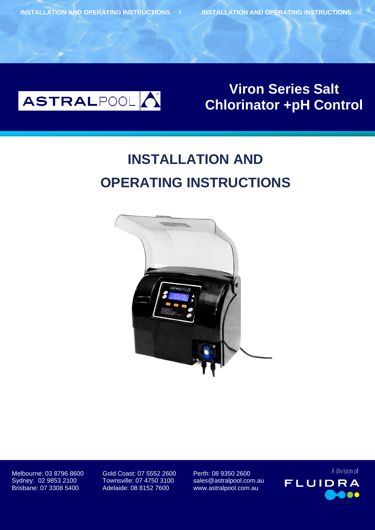

# **Bolero Boles**<br>Boter : pH Co alui tpit **Viron Series Salt Chlorinator +pH Control**

# **INSTALLATION AND OPERATING INSTRUCTIONS**



Brisbane: 07 3308 5400 Adelaide: 08 8152 7600 www.astralpool.com.au

Melbourne: 03 8796 8600 Gold Coast: 07 5552 2600 Perth: 08 9350 2600 Sydney: 02 9853 2100 Townsville: 07 4750 3100 sales@astralpool.com.au

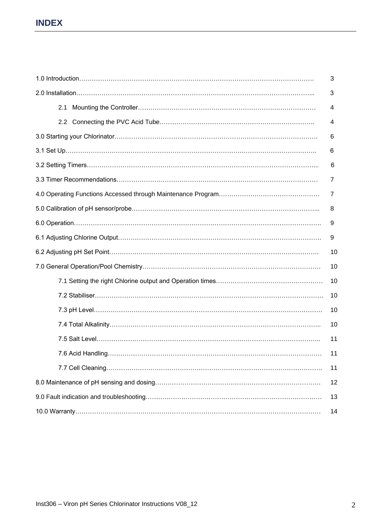# **INDEX**

|     | 3  |  |  |  |  |  |  |
|-----|----|--|--|--|--|--|--|
| 2.1 | 4  |  |  |  |  |  |  |
|     | 4  |  |  |  |  |  |  |
|     | 6  |  |  |  |  |  |  |
|     | 6  |  |  |  |  |  |  |
| 6   |    |  |  |  |  |  |  |
|     | 7  |  |  |  |  |  |  |
| 7   |    |  |  |  |  |  |  |
|     |    |  |  |  |  |  |  |
|     | 9  |  |  |  |  |  |  |
|     | 9  |  |  |  |  |  |  |
|     | 10 |  |  |  |  |  |  |
|     | 10 |  |  |  |  |  |  |
|     | 10 |  |  |  |  |  |  |
|     | 10 |  |  |  |  |  |  |
|     | 10 |  |  |  |  |  |  |
|     | 10 |  |  |  |  |  |  |
|     | 11 |  |  |  |  |  |  |
|     | 11 |  |  |  |  |  |  |
|     | 11 |  |  |  |  |  |  |
|     | 12 |  |  |  |  |  |  |
|     | 13 |  |  |  |  |  |  |
|     | 14 |  |  |  |  |  |  |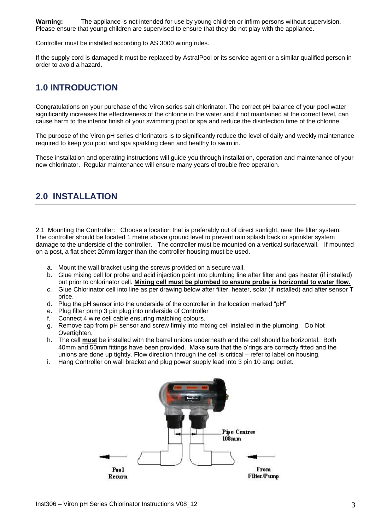**Warning:** The appliance is not intended for use by young children or infirm persons without supervision. Please ensure that young children are supervised to ensure that they do not play with the appliance.

Controller must be installed according to AS 3000 wiring rules.

If the supply cord is damaged it must be replaced by AstralPool or its service agent or a similar qualified person in order to avoid a hazard.

### **1.0 INTRODUCTION**

Congratulations on your purchase of the Viron series salt chlorinator. The correct pH balance of your pool water significantly increases the effectiveness of the chlorine in the water and if not maintained at the correct level, can cause harm to the interior finish of your swimming pool or spa and reduce the disinfection time of the chlorine.

The purpose of the Viron pH series chlorinators is to significantly reduce the level of daily and weekly maintenance required to keep you pool and spa sparkling clean and healthy to swim in.

These installation and operating instructions will guide you through installation, operation and maintenance of your new chlorinator. Regular maintenance will ensure many years of trouble free operation.

# **2.0 INSTALLATION**

2.1 Mounting the Controller: Choose a location that is preferably out of direct sunlight, near the filter system. The controller should be located 1 metre above ground level to prevent rain splash back or sprinkler system damage to the underside of the controller. The controller must be mounted on a vertical surface/wall. If mounted on a post, a flat sheet 20mm larger than the controller housing must be used.

- a. Mount the wall bracket using the screws provided on a secure wall.
- b. Glue mixing cell for probe and acid injection point into plumbing line after filter and gas heater (if installed) but prior to chlorinator cell. **Mixing cell must be plumbed to ensure probe is horizontal to water flow.**
- c. Glue Chlorinator cell into line as per drawing below after filter, heater, solar (if installed) and after sensor T price.
- d. Plug the pH sensor into the underside of the controller in the location marked "pH"
- e. Plug filter pump 3 pin plug into underside of Controller
- f. Connect 4 wire cell cable ensuring matching colours.
- g. Remove cap from pH sensor and screw firmly into mixing cell installed in the plumbing. Do Not Overtighten.
- h. The cell **must** be installed with the barrel unions underneath and the cell should be horizontal. Both 40mm and 50mm fittings have been provided. Make sure that the o'rings are correctly fitted and the unions are done up tightly. Flow direction through the cell is critical – refer to label on housing.
- i. Hang Controller on wall bracket and plug power supply lead into 3 pin 10 amp outlet.

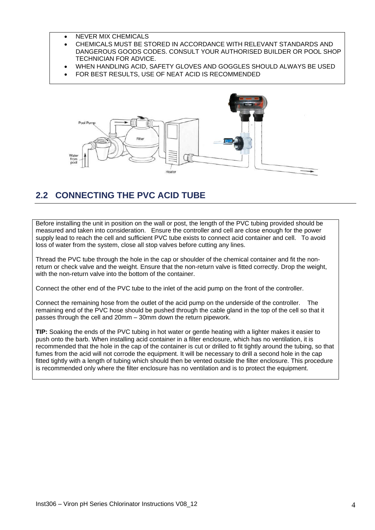- NEVER MIX CHEMICALS
- CHEMICALS MUST BE STORED IN ACCORDANCE WITH RELEVANT STANDARDS AND DANGEROUS GOODS CODES. CONSULT YOUR AUTHORISED BUILDER OR POOL SHOP TECHNICIAN FOR ADVICE.
- WHEN HANDLING ACID, SAFETY GLOVES AND GOGGLES SHOULD ALWAYS BE USED
- FOR BEST RESULTS, USE OF NEAT ACID IS RECOMMENDED



# **2.2 CONNECTING THE PVC ACID TUBE**

Before installing the unit in position on the wall or post, the length of the PVC tubing provided should be measured and taken into consideration. Ensure the controller and cell are close enough for the power supply lead to reach the cell and sufficient PVC tube exists to connect acid container and cell. To avoid loss of water from the system, close all stop valves before cutting any lines.

Thread the PVC tube through the hole in the cap or shoulder of the chemical container and fit the nonreturn or check valve and the weight. Ensure that the non-return valve is fitted correctly. Drop the weight, with the non-return valve into the bottom of the container.

Connect the other end of the PVC tube to the inlet of the acid pump on the front of the controller.

Connect the remaining hose from the outlet of the acid pump on the underside of the controller. The remaining end of the PVC hose should be pushed through the cable gland in the top of the cell so that it passes through the cell and 20mm – 30mm down the return pipework.

**TIP:** Soaking the ends of the PVC tubing in hot water or gentle heating with a lighter makes it easier to push onto the barb. When installing acid container in a filter enclosure, which has no ventilation, it is recommended that the hole in the cap of the container is cut or drilled to fit tightly around the tubing, so that fumes from the acid will not corrode the equipment. It will be necessary to drill a second hole in the cap fitted tightly with a length of tubing which should then be vented outside the filter enclosure. This procedure is recommended only where the filter enclosure has no ventilation and is to protect the equipment.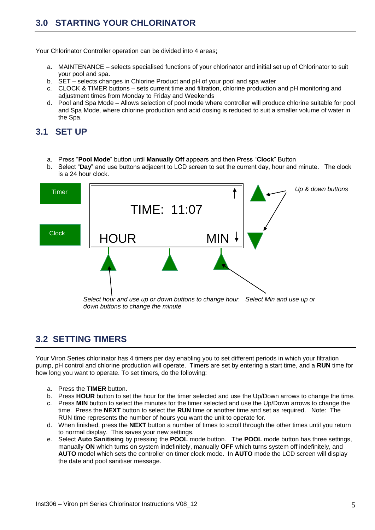# **3.0 STARTING YOUR CHLORINATOR**

Your Chlorinator Controller operation can be divided into 4 areas;

- a. MAINTENANCE selects specialised functions of your chlorinator and initial set up of Chlorinator to suit your pool and spa.
- b. SET selects changes in Chlorine Product and pH of your pool and spa water
- c. CLOCK & TIMER buttons sets current time and filtration, chlorine production and pH monitoring and adjustment times from Monday to Friday and Weekends
- d. Pool and Spa Mode Allows selection of pool mode where controller will produce chlorine suitable for pool and Spa Mode, where chlorine production and acid dosing is reduced to suit a smaller volume of water in the Spa.

### **3.1 SET UP**

- a. Press "**Pool Mode**" button until **Manually Off** appears and then Press "**Clock**" Button
- b. Select "**Day**" and use buttons adjacent to LCD screen to set the current day, hour and minute. The clock is a 24 hour clock.



# **3.2 SETTING TIMERS**

Your Viron Series chlorinator has 4 timers per day enabling you to set different periods in which your filtration pump, pH control and chlorine production will operate. Timers are set by entering a start time, and a **RUN** time for how long you want to operate. To set timers, do the following:

- a. Press the **TIMER** button.
- b. Press **HOUR** button to set the hour for the timer selected and use the Up/Down arrows to change the time.
- c. Press **MIN** button to select the minutes for the timer selected and use the Up/Down arrows to change the time. Press the **NEXT** button to select the **RUN** time or another time and set as required. Note: The RUN time represents the number of hours you want the unit to operate for.
- d. When finished, press the **NEXT** button a number of times to scroll through the other times until you return to normal display. This saves your new settings.
- e. Select **Auto Sanitising** by pressing the **POOL** mode button. The **POOL** mode button has three settings, manually **ON** which turns on system indefinitely, manually **OFF** which turns system off indefinitely, and **AUTO** model which sets the controller on timer clock mode. In **AUTO** mode the LCD screen will display the date and pool sanitiser message.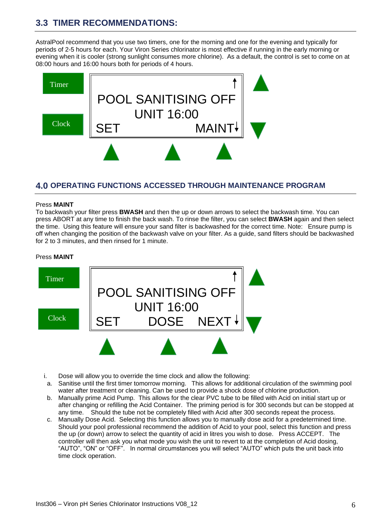# **3.3 TIMER RECOMMENDATIONS:**

AstralPool recommend that you use two timers, one for the morning and one for the evening and typically for periods of 2-5 hours for each. Your Viron Series chlorinator is most effective if running in the early morning or evening when it is cooler (strong sunlight consumes more chlorine). As a default, the control is set to come on at 08:00 hours and 16:00 hours both for periods of 4 hours.



### **4.0 OPERATING FUNCTIONS ACCESSED THROUGH MAINTENANCE PROGRAM**

#### Press **MAINT**

To backwash your filter press **BWASH** and then the up or down arrows to select the backwash time. You can press ABORT at any time to finish the back wash. To rinse the filter, you can select **BWASH** again and then select the time. Using this feature will ensure your sand filter is backwashed for the correct time. Note: Ensure pump is off when changing the position of the backwash valve on your filter. As a guide, sand filters should be backwashed for 2 to 3 minutes, and then rinsed for 1 minute.

#### Press **MAINT**



- i. Dose will allow you to override the time clock and allow the following:
- a. Sanitise until the first timer tomorrow morning. This allows for additional circulation of the swimming pool water after treatment or cleaning. Can be used to provide a shock dose of chlorine production.
- b. Manually prime Acid Pump. This allows for the clear PVC tube to be filled with Acid on initial start up or after changing or refilling the Acid Container. The priming period is for 300 seconds but can be stopped at any time. Should the tube not be completely filled with Acid after 300 seconds repeat the process.
- c. Manually Dose Acid. Selecting this function allows you to manually dose acid for a predetermined time. Should your pool professional recommend the addition of Acid to your pool, select this function and press the up (or down) arrow to select the quantity of acid in litres you wish to dose. Press ACCEPT. The controller will then ask you what mode you wish the unit to revert to at the completion of Acid dosing, "AUTO", "ON" or "OFF". In normal circumstances you will select "AUTO" which puts the unit back into time clock operation.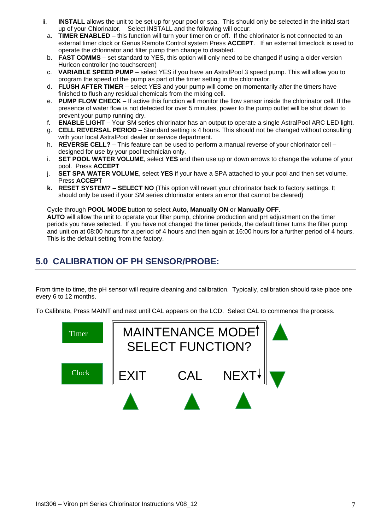- ii. **INSTALL** allows the unit to be set up for your pool or spa. This should only be selected in the initial start up of your Chlorinator. Select INSTALL and the following will occur:
- a. **TIMER ENABLED** this function will turn your timer on or off. If the chlorinator is not connected to an external timer clock or Genus Remote Control system Press **ACCEPT**. If an external timeclock is used to operate the chlorinator and filter pump then change to disabled.
- b. **FAST COMMS**  set standard to YES, this option will only need to be changed if using a older version Hurlcon controller (no touchscreen)
- c. **VARIABLE SPEED PUMP** select YES if you have an AstralPool 3 speed pump. This will allow you to program the speed of the pump as part of the timer setting in the chlorinator.
- d. **FLUSH AFTER TIMER**  select YES and your pump will come on momentarily after the timers have finished to flush any residual chemicals from the mixing cell.
- e. **PUMP FLOW CHECK**  If active this function will monitor the flow sensor inside the chlorinator cell. If the presence of water flow is not detected for over 5 minutes, power to the pump outlet will be shut down to prevent your pump running dry.
- f. **ENABLE LIGHT** Your SM series chlorinator has an output to operate a single AstralPool ARC LED light.
- g. **CELL REVERSAL PERIOD** Standard setting is 4 hours. This should not be changed without consulting with your local AstralPool dealer or service department.
- h. **REVERSE CELL?**  This feature can be used to perform a manual reverse of your chlorinator cell designed for use by your pool technician only.
- i. **SET POOL WATER VOLUME**, select **YES** and then use up or down arrows to change the volume of your pool. Press **ACCEPT**
- j. **SET SPA WATER VOLUME**, select **YES** if your have a SPA attached to your pool and then set volume. Press **ACCEPT**
- **k. RESET SYSTEM? SELECT NO** (This option will revert your chlorinator back to factory settings. It should only be used if your SM series chlorinator enters an error that cannot be cleared)

#### Cycle through **POOL MODE** button to select **Auto**, **Manually ON** or **Manually OFF**.

**AUTO** will allow the unit to operate your filter pump, chlorine production and pH adjustment on the timer periods you have selected. If you have not changed the timer periods, the default timer turns the filter pump and unit on at 08:00 hours for a period of 4 hours and then again at 16:00 hours for a further period of 4 hours. This is the default setting from the factory.

# **5.0 CALIBRATION OF PH SENSOR/PROBE:**

From time to time, the pH sensor will require cleaning and calibration. Typically, calibration should take place one every 6 to 12 months.

To Calibrate, Press MAINT and next until CAL appears on the LCD. Select CAL to commence the process.

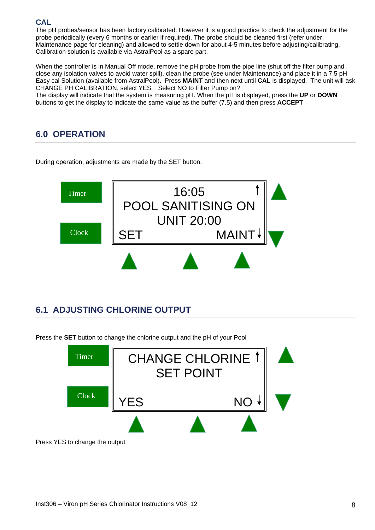### **CAL**

The pH probes/sensor has been factory calibrated. However it is a good practice to check the adjustment for the probe periodically (every 6 months or earlier if required). The probe should be cleaned first (refer under Maintenance page for cleaning) and allowed to settle down for about 4-5 minutes before adjusting/calibrating. Calibration solution is available via AstralPool as a spare part.

When the controller is in Manual Off mode, remove the pH probe from the pipe line (shut off the filter pump and close any isolation valves to avoid water spill), clean the probe (see under Maintenance) and place it in a 7.5 pH Easy cal Solution (available from AstralPool). Press **MAINT** and then next until **CAL** is displayed. The unit will ask CHANGE PH CALIBRATION, select YES. Select NO to Filter Pump on?

The display will indicate that the system is measuring pH. When the pH is displayed, press the **UP** or **DOWN** buttons to get the display to indicate the same value as the buffer (7.5) and then press **ACCEPT**

# **6.0 OPERATION**

During operation, adjustments are made by the SET button.



# **6.1 ADJUSTING CHLORINE OUTPUT**

Press the **SET** button to change the chlorine output and the pH of your Pool

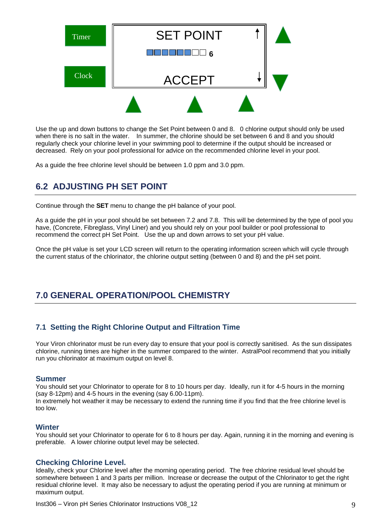

Use the up and down buttons to change the Set Point between 0 and 8. 0 chlorine output should only be used when there is no salt in the water. In summer, the chlorine should be set between 6 and 8 and you should regularly check your chlorine level in your swimming pool to determine if the output should be increased or decreased. Rely on your pool professional for advice on the recommended chlorine level in your pool.

As a guide the free chlorine level should be between 1.0 ppm and 3.0 ppm.

# **6.2 ADJUSTING PH SET POINT**

Continue through the **SET** menu to change the pH balance of your pool.

As a guide the pH in your pool should be set between 7.2 and 7.8. This will be determined by the type of pool you have, (Concrete, Fibreglass, Vinyl Liner) and you should rely on your pool builder or pool professional to recommend the correct pH Set Point. Use the up and down arrows to set your pH value.

Once the pH value is set your LCD screen will return to the operating information screen which will cycle through the current status of the chlorinator, the chlorine output setting (between 0 and 8) and the pH set point.

# **7.0 GENERAL OPERATION/POOL CHEMISTRY**

### **7.1 Setting the Right Chlorine Output and Filtration Time**

Your Viron chlorinator must be run every day to ensure that your pool is correctly sanitised. As the sun dissipates chlorine, running times are higher in the summer compared to the winter. AstralPool recommend that you initially run you chlorinator at maximum output on level 8.

#### **Summer**

You should set your Chlorinator to operate for 8 to 10 hours per day. Ideally, run it for 4-5 hours in the morning (say 8-12pm) and 4-5 hours in the evening (say 6.00-11pm).

In extremely hot weather it may be necessary to extend the running time if you find that the free chlorine level is too low.

#### **Winter**

You should set your Chlorinator to operate for 6 to 8 hours per day. Again, running it in the morning and evening is preferable. A lower chlorine output level may be selected.

### **Checking Chlorine Level.**

Ideally, check your Chlorine level after the morning operating period. The free chlorine residual level should be somewhere between 1 and 3 parts per million. Increase or decrease the output of the Chlorinator to get the right residual chlorine level. It may also be necessary to adjust the operating period if you are running at minimum or maximum output.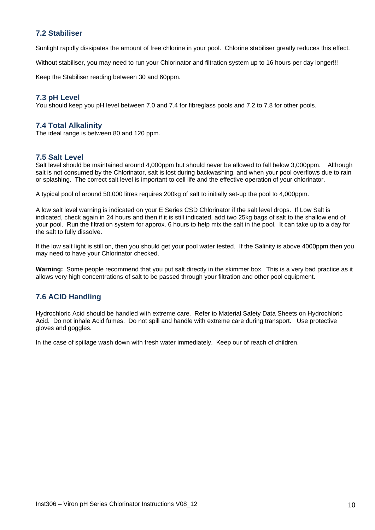### **7.2 Stabiliser**

Sunlight rapidly dissipates the amount of free chlorine in your pool. Chlorine stabiliser greatly reduces this effect.

Without stabiliser, you may need to run your Chlorinator and filtration system up to 16 hours per day longer!!!

Keep the Stabiliser reading between 30 and 60ppm.

### **7.3 pH Level**

You should keep you pH level between 7.0 and 7.4 for fibreglass pools and 7.2 to 7.8 for other pools.

### **7.4 Total Alkalinity**

The ideal range is between 80 and 120 ppm.

### **7.5 Salt Level**

Salt level should be maintained around 4,000ppm but should never be allowed to fall below 3,000ppm. Although salt is not consumed by the Chlorinator, salt is lost during backwashing, and when your pool overflows due to rain or splashing. The correct salt level is important to cell life and the effective operation of your chlorinator.

A typical pool of around 50,000 litres requires 200kg of salt to initially set-up the pool to 4,000ppm.

A low salt level warning is indicated on your E Series CSD Chlorinator if the salt level drops. If Low Salt is indicated, check again in 24 hours and then if it is still indicated, add two 25kg bags of salt to the shallow end of your pool. Run the filtration system for approx. 6 hours to help mix the salt in the pool. It can take up to a day for the salt to fully dissolve.

If the low salt light is still on, then you should get your pool water tested. If the Salinity is above 4000ppm then you may need to have your Chlorinator checked.

**Warning:** Some people recommend that you put salt directly in the skimmer box. This is a very bad practice as it allows very high concentrations of salt to be passed through your filtration and other pool equipment.

### **7.6 ACID Handling**

Hydrochloric Acid should be handled with extreme care. Refer to Material Safety Data Sheets on Hydrochloric Acid. Do not inhale Acid fumes. Do not spill and handle with extreme care during transport. Use protective gloves and goggles.

In the case of spillage wash down with fresh water immediately. Keep our of reach of children.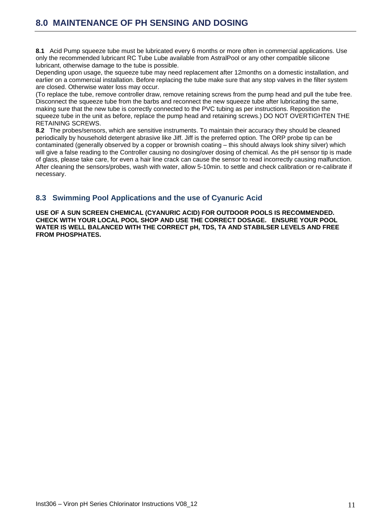**8.1** Acid Pump squeeze tube must be lubricated every 6 months or more often in commercial applications. Use only the recommended lubricant RC Tube Lube available from AstralPool or any other compatible silicone lubricant, otherwise damage to the tube is possible.

Depending upon usage, the squeeze tube may need replacement after 12months on a domestic installation, and earlier on a commercial installation. Before replacing the tube make sure that any stop valves in the filter system are closed. Otherwise water loss may occur.

(To replace the tube, remove controller draw, remove retaining screws from the pump head and pull the tube free. Disconnect the squeeze tube from the barbs and reconnect the new squeeze tube after lubricating the same, making sure that the new tube is correctly connected to the PVC tubing as per instructions. Reposition the squeeze tube in the unit as before, replace the pump head and retaining screws.) DO NOT OVERTIGHTEN THE RETAINING SCREWS.

**8.2** The probes/sensors, which are sensitive instruments. To maintain their accuracy they should be cleaned periodically by household detergent abrasive like Jiff. Jiff is the preferred option. The ORP probe tip can be contaminated (generally observed by a copper or brownish coating – this should always look shiny silver) which will give a false reading to the Controller causing no dosing/over dosing of chemical. As the pH sensor tip is made of glass, please take care, for even a hair line crack can cause the sensor to read incorrectly causing malfunction. After cleaning the sensors/probes, wash with water, allow 5-10min. to settle and check calibration or re-calibrate if necessary.

### **8.3 Swimming Pool Applications and the use of Cyanuric Acid**

**USE OF A SUN SCREEN CHEMICAL (CYANURIC ACID) FOR OUTDOOR POOLS IS RECOMMENDED. CHECK WITH YOUR LOCAL POOL SHOP AND USE THE CORRECT DOSAGE. ENSURE YOUR POOL WATER IS WELL BALANCED WITH THE CORRECT pH, TDS, TA AND STABILSER LEVELS AND FREE FROM PHOSPHATES.**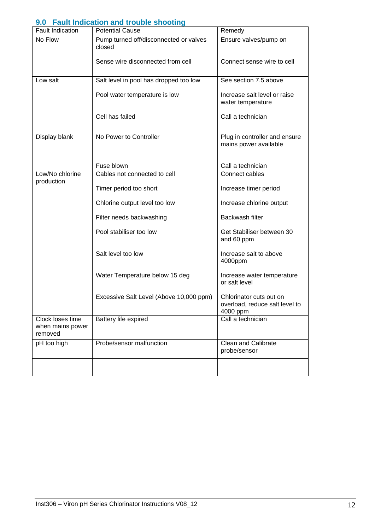### **9.0 Fault Indication and trouble shooting**

| <b>Fault Indication</b>                         | <b>Potential Cause</b>                           | Remedy                                                                |  |  |
|-------------------------------------------------|--------------------------------------------------|-----------------------------------------------------------------------|--|--|
| No Flow                                         | Pump turned off/disconnected or valves<br>closed | Ensure valves/pump on                                                 |  |  |
|                                                 | Sense wire disconnected from cell                | Connect sense wire to cell                                            |  |  |
| Low salt                                        | Salt level in pool has dropped too low           | See section 7.5 above                                                 |  |  |
|                                                 | Pool water temperature is low                    | Increase salt level or raise<br>water temperature                     |  |  |
|                                                 | Cell has failed                                  | Call a technician                                                     |  |  |
| Display blank                                   | No Power to Controller                           | Plug in controller and ensure<br>mains power available                |  |  |
|                                                 | Fuse blown                                       | Call a technician                                                     |  |  |
| Low/No chlorine                                 | Cables not connected to cell                     | Connect cables                                                        |  |  |
| production                                      |                                                  |                                                                       |  |  |
|                                                 | Timer period too short                           | Increase timer period                                                 |  |  |
|                                                 | Chlorine output level too low                    | Increase chlorine output                                              |  |  |
|                                                 | Filter needs backwashing                         | Backwash filter                                                       |  |  |
|                                                 | Pool stabiliser too low                          | Get Stabiliser between 30<br>and 60 ppm                               |  |  |
|                                                 | Salt level too low                               | Increase salt to above<br>4000ppm                                     |  |  |
|                                                 | Water Temperature below 15 deg                   | Increase water temperature<br>or salt level                           |  |  |
|                                                 | Excessive Salt Level (Above 10,000 ppm)          | Chlorinator cuts out on<br>overload, reduce salt level to<br>4000 ppm |  |  |
| Clock loses time<br>when mains power<br>removed | Battery life expired                             | Call a technician                                                     |  |  |
| Probe/sensor malfunction<br>pH too high         |                                                  | <b>Clean and Calibrate</b><br>probe/sensor                            |  |  |
|                                                 |                                                  |                                                                       |  |  |
|                                                 |                                                  |                                                                       |  |  |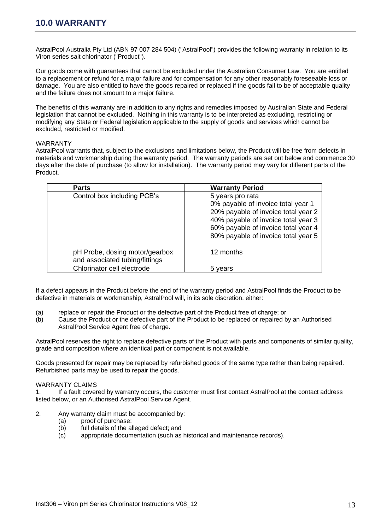AstralPool Australia Pty Ltd (ABN 97 007 284 504) ("AstralPool") provides the following warranty in relation to its Viron series salt chlorinator ("Product").

Our goods come with guarantees that cannot be excluded under the Australian Consumer Law. You are entitled to a replacement or refund for a major failure and for compensation for any other reasonably foreseeable loss or damage. You are also entitled to have the goods repaired or replaced if the goods fail to be of acceptable quality and the failure does not amount to a major failure.

The benefits of this warranty are in addition to any rights and remedies imposed by Australian State and Federal legislation that cannot be excluded. Nothing in this warranty is to be interpreted as excluding, restricting or modifying any State or Federal legislation applicable to the supply of goods and services which cannot be excluded, restricted or modified.

#### WARRANTY

AstralPool warrants that, subject to the exclusions and limitations below, the Product will be free from defects in materials and workmanship during the warranty period. The warranty periods are set out below and commence 30 days after the date of purchase (to allow for installation). The warranty period may vary for different parts of the Product.

| <b>Parts</b>                                                     | <b>Warranty Period</b>                                                                                                                                                                                             |
|------------------------------------------------------------------|--------------------------------------------------------------------------------------------------------------------------------------------------------------------------------------------------------------------|
| Control box including PCB's                                      | 5 years pro rata<br>0% payable of invoice total year 1<br>20% payable of invoice total year 2<br>40% payable of invoice total year 3<br>60% payable of invoice total year 4<br>80% payable of invoice total year 5 |
| pH Probe, dosing motor/gearbox<br>and associated tubing/fittings | 12 months                                                                                                                                                                                                          |
| Chlorinator cell electrode                                       | vears                                                                                                                                                                                                              |

If a defect appears in the Product before the end of the warranty period and AstralPool finds the Product to be defective in materials or workmanship, AstralPool will, in its sole discretion, either:

- (a) replace or repair the Product or the defective part of the Product free of charge; or
- (b) Cause the Product or the defective part of the Product to be replaced or repaired by an Authorised AstralPool Service Agent free of charge.

AstralPool reserves the right to replace defective parts of the Product with parts and components of similar quality, grade and composition where an identical part or component is not available.

Goods presented for repair may be replaced by refurbished goods of the same type rather than being repaired. Refurbished parts may be used to repair the goods.

#### WARRANTY CLAIMS

1. If a fault covered by warranty occurs, the customer must first contact AstralPool at the contact address listed below, or an Authorised AstralPool Service Agent.

- 2. Any warranty claim must be accompanied by:
	- (a) proof of purchase;
	- (b) full details of the alleged defect; and
	- (c) appropriate documentation (such as historical and maintenance records).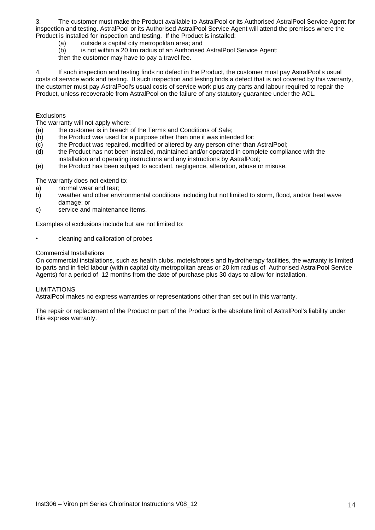3. The customer must make the Product available to AstralPool or its Authorised AstralPool Service Agent for inspection and testing. AstralPool or its Authorised AstralPool Service Agent will attend the premises where the Product is installed for inspection and testing. If the Product is installed:

- (a) outside a capital city metropolitan area; and
- (b) is not within a 20 km radius of an Authorised AstralPool Service Agent;

then the customer may have to pay a travel fee.

4. If such inspection and testing finds no defect in the Product, the customer must pay AstralPool's usual costs of service work and testing. If such inspection and testing finds a defect that is not covered by this warranty, the customer must pay AstralPool's usual costs of service work plus any parts and labour required to repair the Product, unless recoverable from AstralPool on the failure of any statutory guarantee under the ACL.

#### **Exclusions**

The warranty will not apply where:

- (a) the customer is in breach of the Terms and Conditions of Sale;
- (b) the Product was used for a purpose other than one it was intended for;
- (c) the Product was repaired, modified or altered by any person other than AstralPool;
- (d) the Product has not been installed, maintained and/or operated in complete compliance with the installation and operating instructions and any instructions by AstralPool;
- (e) the Product has been subject to accident, negligence, alteration, abuse or misuse.

The warranty does not extend to:

- a) normal wear and tear;
- b) weather and other environmental conditions including but not limited to storm, flood, and/or heat wave damage; or
- c) service and maintenance items.

Examples of exclusions include but are not limited to:

• cleaning and calibration of probes

#### Commercial Installations

On commercial installations, such as health clubs, motels/hotels and hydrotherapy facilities, the warranty is limited to parts and in field labour (within capital city metropolitan areas or 20 km radius of Authorised AstralPool Service Agents) for a period of 12 months from the date of purchase plus 30 days to allow for installation.

#### LIMITATIONS

AstralPool makes no express warranties or representations other than set out in this warranty.

The repair or replacement of the Product or part of the Product is the absolute limit of AstralPool's liability under this express warranty.